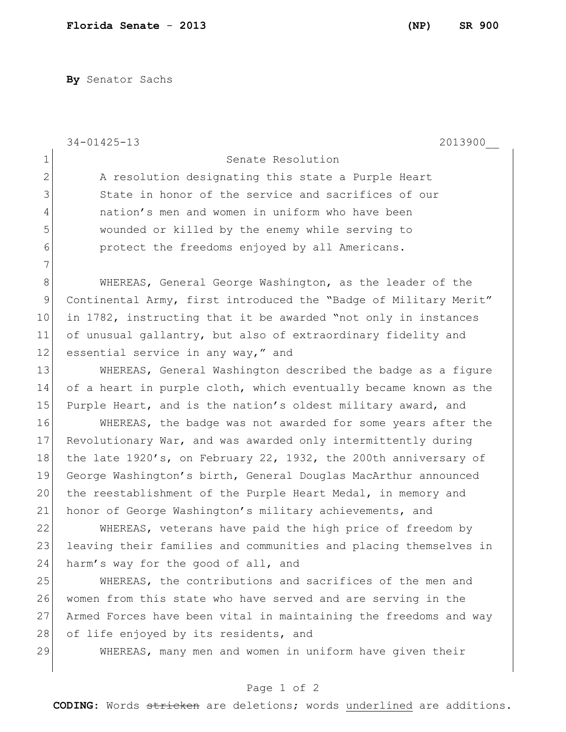**By** Senator Sachs

|              | $34 - 01425 - 13$<br>2013900                                     |
|--------------|------------------------------------------------------------------|
| 1            | Senate Resolution                                                |
| $\mathbf{2}$ | A resolution designating this state a Purple Heart               |
| 3            | State in honor of the service and sacrifices of our              |
| 4            | nation's men and women in uniform who have been                  |
| 5            | wounded or killed by the enemy while serving to                  |
| 6            | protect the freedoms enjoyed by all Americans.                   |
| 7            |                                                                  |
| $8\,$        | WHEREAS, General George Washington, as the leader of the         |
| 9            | Continental Army, first introduced the "Badge of Military Merit" |
| 10           | in 1782, instructing that it be awarded "not only in instances   |
| 11           | of unusual gallantry, but also of extraordinary fidelity and     |
| 12           | essential service in any way," and                               |
| 13           | WHEREAS, General Washington described the badge as a figure      |
| 14           | of a heart in purple cloth, which eventually became known as the |
| 15           | Purple Heart, and is the nation's oldest military award, and     |
| 16           | WHEREAS, the badge was not awarded for some years after the      |
| 17           | Revolutionary War, and was awarded only intermittently during    |
| 18           | the late 1920's, on February 22, 1932, the 200th anniversary of  |
| 19           | George Washington's birth, General Douglas MacArthur announced   |
| 20           | the reestablishment of the Purple Heart Medal, in memory and     |
| 21           | honor of George Washington's military achievements, and          |
| 22           | WHEREAS, veterans have paid the high price of freedom by         |
| 23           | leaving their families and communities and placing themselves in |
| 24           | harm's way for the good of all, and                              |
| 25           | WHEREAS, the contributions and sacrifices of the men and         |
| 26           | women from this state who have served and are serving in the     |
| 27           | Armed Forces have been vital in maintaining the freedoms and way |
| 28           | of life enjoyed by its residents, and                            |
| 29           | WHEREAS, many men and women in uniform have given their          |
|              |                                                                  |

## Page 1 of 2

**CODING**: Words stricken are deletions; words underlined are additions.